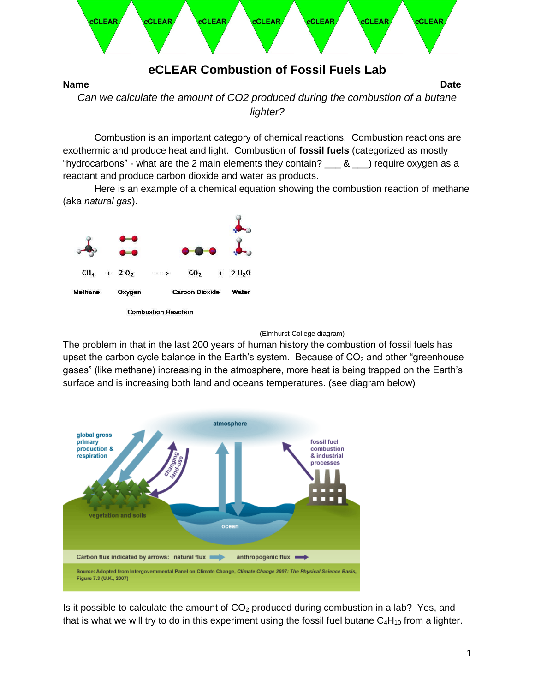

Combustion is an important category of chemical reactions. Combustion reactions are exothermic and produce heat and light. Combustion of **fossil fuels** (categorized as mostly "hydrocarbons" - what are the 2 main elements they contain?  $\_\_\_\&\_\_\$  require oxygen as a reactant and produce carbon dioxide and water as products.

Here is an example of a chemical equation showing the combustion reaction of methane (aka *natural gas*).



**Combustion Reaction** 



The problem in that in the last 200 years of human history the combustion of fossil fuels has upset the carbon cycle balance in the Earth's system. Because of  $CO<sub>2</sub>$  and other "greenhouse" gases" (like methane) increasing in the atmosphere, more heat is being trapped on the Earth's surface and is increasing both land and oceans temperatures. (see diagram below)



Is it possible to calculate the amount of  $CO<sub>2</sub>$  produced during combustion in a lab? Yes, and that is what we will try to do in this experiment using the fossil fuel butane  $C_4H_{10}$  from a lighter.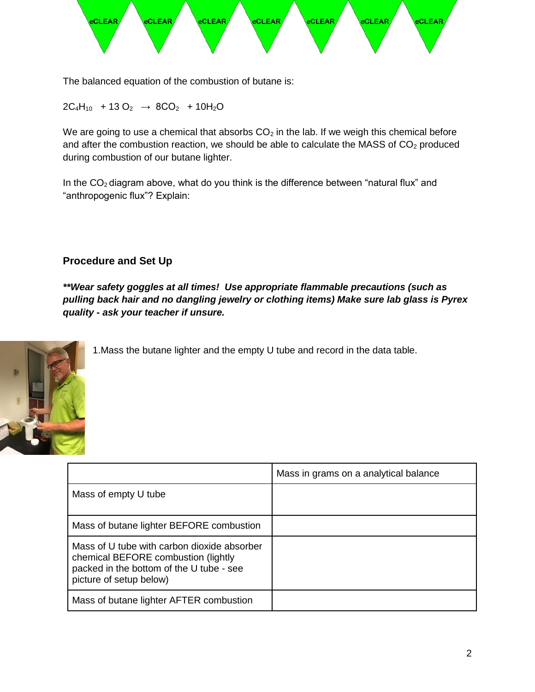

The balanced equation of the combustion of butane is:

 $2C_4H_{10}$  + 13 O<sub>2</sub>  $\rightarrow$  8CO<sub>2</sub> + 10H<sub>2</sub>O

We are going to use a chemical that absorbs  $CO<sub>2</sub>$  in the lab. If we weigh this chemical before and after the combustion reaction, we should be able to calculate the MASS of  $CO<sub>2</sub>$  produced during combustion of our butane lighter.

In the  $CO<sub>2</sub>$  diagram above, what do you think is the difference between "natural flux" and "anthropogenic flux"? Explain:

## **Procedure and Set Up**

*\*\*Wear safety goggles at all times! Use appropriate flammable precautions (such as pulling back hair and no dangling jewelry or clothing items) Make sure lab glass is Pyrex quality - ask your teacher if unsure.*



1.Mass the butane lighter and the empty U tube and record in the data table.

|                                                                                                                                                           | Mass in grams on a analytical balance |
|-----------------------------------------------------------------------------------------------------------------------------------------------------------|---------------------------------------|
| Mass of empty U tube                                                                                                                                      |                                       |
| Mass of butane lighter BEFORE combustion                                                                                                                  |                                       |
| Mass of U tube with carbon dioxide absorber<br>chemical BEFORE combustion (lightly<br>packed in the bottom of the U tube - see<br>picture of setup below) |                                       |
| Mass of butane lighter AFTER combustion                                                                                                                   |                                       |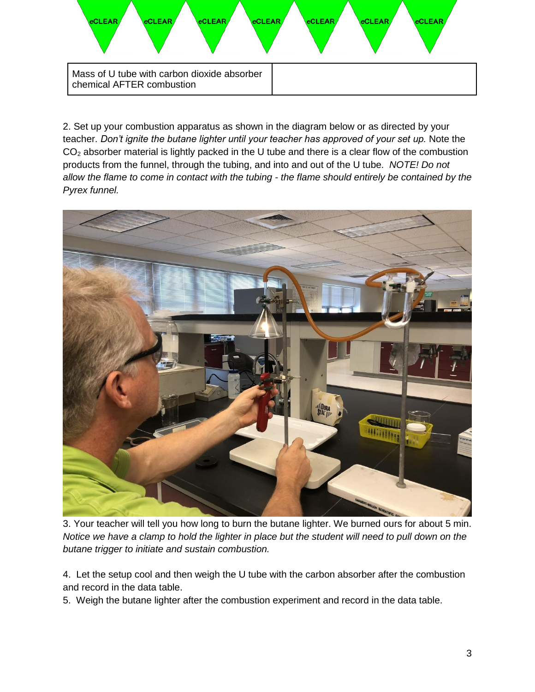

2. Set up your combustion apparatus as shown in the diagram below or as directed by your teacher. *Don't ignite the butane lighter until your teacher has approved of your set up.* Note the  $CO<sub>2</sub>$  absorber material is lightly packed in the U tube and there is a clear flow of the combustion products from the funnel, through the tubing, and into and out of the U tube. *NOTE! Do not allow the flame to come in contact with the tubing - the flame should entirely be contained by the Pyrex funnel.* 



3. Your teacher will tell you how long to burn the butane lighter. We burned ours for about 5 min. *Notice we have a clamp to hold the lighter in place but the student will need to pull down on the butane trigger to initiate and sustain combustion.*

4. Let the setup cool and then weigh the U tube with the carbon absorber after the combustion and record in the data table.

5. Weigh the butane lighter after the combustion experiment and record in the data table.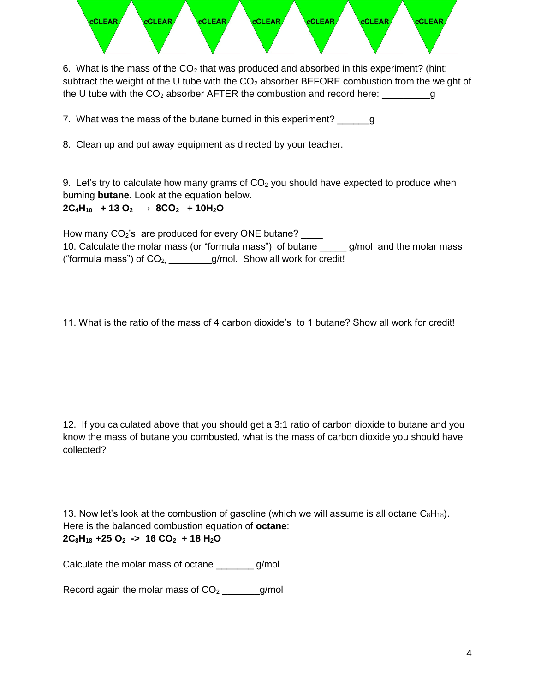

6. What is the mass of the  $CO<sub>2</sub>$  that was produced and absorbed in this experiment? (hint: subtract the weight of the U tube with the  $CO<sub>2</sub>$  absorber BEFORE combustion from the weight of the U tube with the  $CO<sub>2</sub>$  absorber AFTER the combustion and record here:  $\qquad \qquad q$ 

7. What was the mass of the butane burned in this experiment? \_\_\_\_\_\_\_\_g

8. Clean up and put away equipment as directed by your teacher.

9. Let's try to calculate how many grams of  $CO<sub>2</sub>$  you should have expected to produce when burning **butane**. Look at the equation below.

## **2C4H10 + 13 O2 → 8CO2 + 10H2O**

How many  $CO<sub>2</sub>$ 's are produced for every ONE butane? 10. Calculate the molar mass (or "formula mass") of butane g/mol and the molar mass ("formula mass") of  $CO_{2,$  \_\_\_\_\_\_\_g/mol. Show all work for credit!

11. What is the ratio of the mass of 4 carbon dioxide's to 1 butane? Show all work for credit!

12. If you calculated above that you should get a 3:1 ratio of carbon dioxide to butane and you know the mass of butane you combusted, what is the mass of carbon dioxide you should have collected?

13. Now let's look at the combustion of gasoline (which we will assume is all octane  $C_8H_{18}$ ). Here is the balanced combustion equation of **octane**: **2C8H18 +25 O2 -> 16 CO2 + 18 H2O**

Calculate the molar mass of octane g/mol

Record again the molar mass of  $CO<sub>2</sub>$  \_\_\_\_\_\_\_g/mol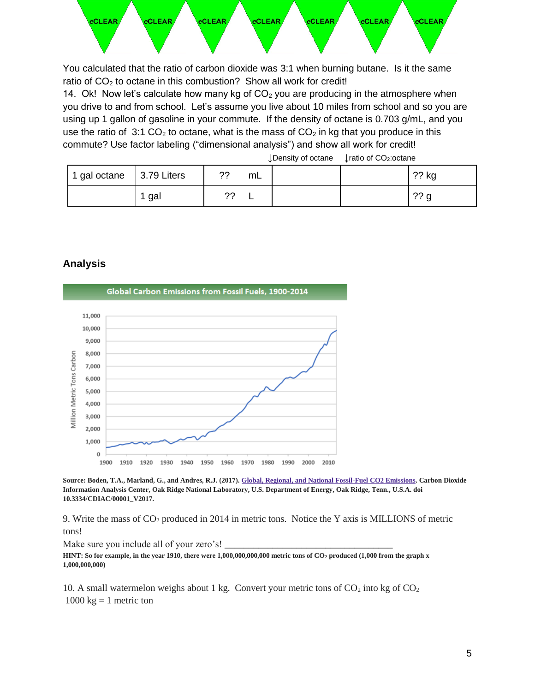

You calculated that the ratio of carbon dioxide was 3:1 when burning butane. Is it the same ratio of  $CO<sub>2</sub>$  to octane in this combustion? Show all work for credit!

14. Ok! Now let's calculate how many kg of  $CO<sub>2</sub>$  you are producing in the atmosphere when you drive to and from school. Let's assume you live about 10 miles from school and so you are using up 1 gallon of gasoline in your commute. If the density of octane is 0.703 g/mL, and you use the ratio of 3:1 CO<sub>2</sub> to octane, what is the mass of CO<sub>2</sub> in kg that you produce in this commute? Use factor labeling ("dimensional analysis") and show all work for credit!

↓Density of octane ↓ratio of CO2:octane

| 1 gal octane | 3.79 Liters | າາ<br>. . | mL |  | ?? kg           |
|--------------|-------------|-----------|----|--|-----------------|
|              | gal         | າາ<br>. . |    |  | ?? <sub>q</sub> |

## **Analysis**



**Source: Boden, T.A., Marland, G., and Andres, R.J. (2017)[. Global, Regional, and National Fossil-Fuel CO2 Emissions.](http://cdiac.ornl.gov/trends/emis/tre_glob_2014.html) Carbon Dioxide Information Analysis Center, Oak Ridge National Laboratory, U.S. Department of Energy, Oak Ridge, Tenn., U.S.A. doi 10.3334/CDIAC/00001\_V2017.**

9. Write the mass of CO<sup>2</sup> produced in 2014 in metric tons. Notice the Y axis is MILLIONS of metric tons!

Make sure you include all of your zero's!

**HINT: So for example, in the year 1910, there were 1,000,000,000,000 metric tons of CO<sup>2</sup> produced (1,000 from the graph x 1,000,000,000)**

10. A small watermelon weighs about 1 kg. Convert your metric tons of  $CO<sub>2</sub>$  into kg of  $CO<sub>2</sub>$  $1000 \text{ kg} = 1$  metric ton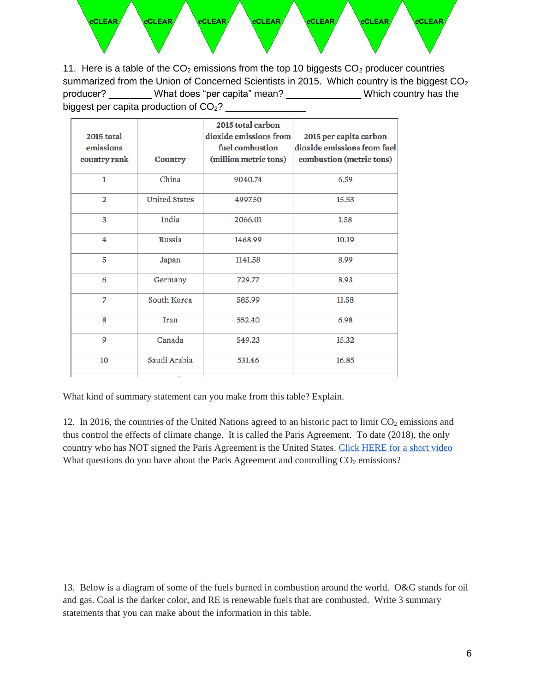

11. Here is a table of the  $CO<sub>2</sub>$  emissions from the top 10 biggests  $CO<sub>2</sub>$  producer countries summarized from the Union of Concerned Scientists in 2015. Which country is the biggest  $CO<sub>2</sub>$ producer? What does "per capita" mean? \_\_\_\_\_\_\_\_\_\_\_\_\_\_Which country has the biggest per capita production of  $CO<sub>2</sub>$ ?

| 2015 total<br>emissions<br>country rank | <b>Country</b>       | 2015 total carbon<br>dioxide emissions from<br>fuel combustion<br>(million metric tons) | 2015 per capita carbon<br>dioxide emissions from fuel<br>combustion (metric tons) |
|-----------------------------------------|----------------------|-----------------------------------------------------------------------------------------|-----------------------------------------------------------------------------------|
| 1                                       | China                | 9040.74                                                                                 | 6.59                                                                              |
| $\overline{2}$                          | <b>United States</b> | 4997.50                                                                                 | 15.53                                                                             |
| 3                                       | India                | 2066.01                                                                                 | 1.58                                                                              |
| 4                                       | Russia               | 1468.99                                                                                 | 10.19                                                                             |
| 5                                       | Japan                | 1141.58                                                                                 | 8.99                                                                              |
| 6                                       | Germany              | 729.77                                                                                  | 8.93                                                                              |
| 7                                       | South Korea          | 585.99                                                                                  | 11.58                                                                             |
| 8                                       | <b>Iran</b>          | 552.40                                                                                  | 6.98                                                                              |
| 9                                       | Canada               | 549.23                                                                                  | 15.32                                                                             |
| 10                                      | Saudi Arabia         | 531.46                                                                                  | 16.85                                                                             |
|                                         |                      |                                                                                         |                                                                                   |

What kind of summary statement can you make from this table? Explain.

12. In 2016, the countries of the United Nations agreed to an historic pact to limit  $CO<sub>2</sub>$  emissions and thus control the effects of climate change. It is called the Paris Agreement. To date (2018), the only country who has NOT signed the Paris Agreement is the United States. [Click HERE for a short video](https://www.independent.co.uk/news/world/middle-east/syria-paris-agreement-us-climate-change-donald-trump-world-country-accord-a8041996.html) What questions do you have about the Paris Agreement and controlling  $CO<sub>2</sub>$  emissions?

13. Below is a diagram of some of the fuels burned in combustion around the world. O&G stands for oil and gas. Coal is the darker color, and RE is renewable fuels that are combusted. Write 3 summary statements that you can make about the information in this table.